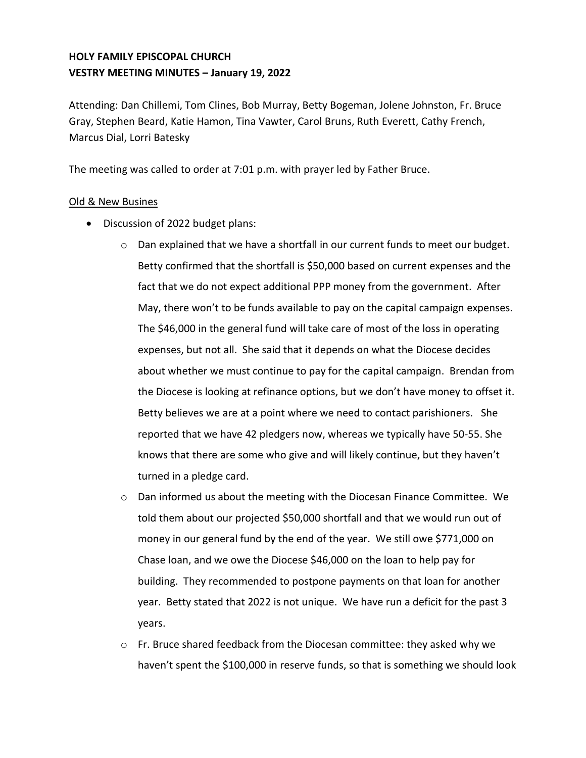# **HOLY FAMILY EPISCOPAL CHURCH VESTRY MEETING MINUTES – January 19, 2022**

Attending: Dan Chillemi, Tom Clines, Bob Murray, Betty Bogeman, Jolene Johnston, Fr. Bruce Gray, Stephen Beard, Katie Hamon, Tina Vawter, Carol Bruns, Ruth Everett, Cathy French, Marcus Dial, Lorri Batesky

The meeting was called to order at 7:01 p.m. with prayer led by Father Bruce.

### Old & New Busines

- Discussion of 2022 budget plans:
	- $\circ$  Dan explained that we have a shortfall in our current funds to meet our budget. Betty confirmed that the shortfall is \$50,000 based on current expenses and the fact that we do not expect additional PPP money from the government. After May, there won't to be funds available to pay on the capital campaign expenses. The \$46,000 in the general fund will take care of most of the loss in operating expenses, but not all. She said that it depends on what the Diocese decides about whether we must continue to pay for the capital campaign. Brendan from the Diocese is looking at refinance options, but we don't have money to offset it. Betty believes we are at a point where we need to contact parishioners. She reported that we have 42 pledgers now, whereas we typically have 50-55. She knows that there are some who give and will likely continue, but they haven't turned in a pledge card.
	- $\circ$  Dan informed us about the meeting with the Diocesan Finance Committee. We told them about our projected \$50,000 shortfall and that we would run out of money in our general fund by the end of the year. We still owe \$771,000 on Chase loan, and we owe the Diocese \$46,000 on the loan to help pay for building. They recommended to postpone payments on that loan for another year. Betty stated that 2022 is not unique. We have run a deficit for the past 3 years.
	- $\circ$  Fr. Bruce shared feedback from the Diocesan committee: they asked why we haven't spent the \$100,000 in reserve funds, so that is something we should look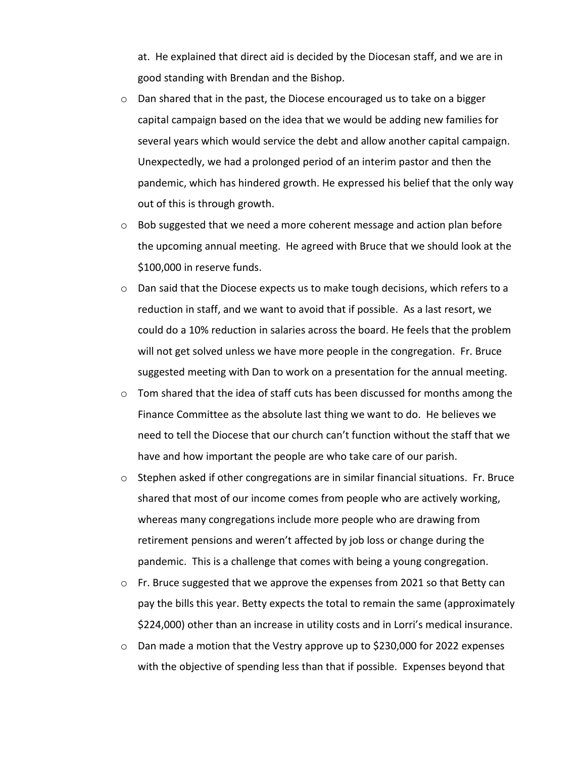at. He explained that direct aid is decided by the Diocesan staff, and we are in good standing with Brendan and the Bishop.

- $\circ$  Dan shared that in the past, the Diocese encouraged us to take on a bigger capital campaign based on the idea that we would be adding new families for several years which would service the debt and allow another capital campaign. Unexpectedly, we had a prolonged period of an interim pastor and then the pandemic, which has hindered growth. He expressed his belief that the only way out of this is through growth.
- $\circ$  Bob suggested that we need a more coherent message and action plan before the upcoming annual meeting. He agreed with Bruce that we should look at the \$100,000 in reserve funds.
- $\circ$  Dan said that the Diocese expects us to make tough decisions, which refers to a reduction in staff, and we want to avoid that if possible. As a last resort, we could do a 10% reduction in salaries across the board. He feels that the problem will not get solved unless we have more people in the congregation. Fr. Bruce suggested meeting with Dan to work on a presentation for the annual meeting.
- $\circ$  Tom shared that the idea of staff cuts has been discussed for months among the Finance Committee as the absolute last thing we want to do. He believes we need to tell the Diocese that our church can't function without the staff that we have and how important the people are who take care of our parish.
- $\circ$  Stephen asked if other congregations are in similar financial situations. Fr. Bruce shared that most of our income comes from people who are actively working, whereas many congregations include more people who are drawing from retirement pensions and weren't affected by job loss or change during the pandemic. This is a challenge that comes with being a young congregation.
- $\circ$  Fr. Bruce suggested that we approve the expenses from 2021 so that Betty can pay the bills this year. Betty expects the total to remain the same (approximately \$224,000) other than an increase in utility costs and in Lorri's medical insurance.
- $\circ$  Dan made a motion that the Vestry approve up to \$230,000 for 2022 expenses with the objective of spending less than that if possible. Expenses beyond that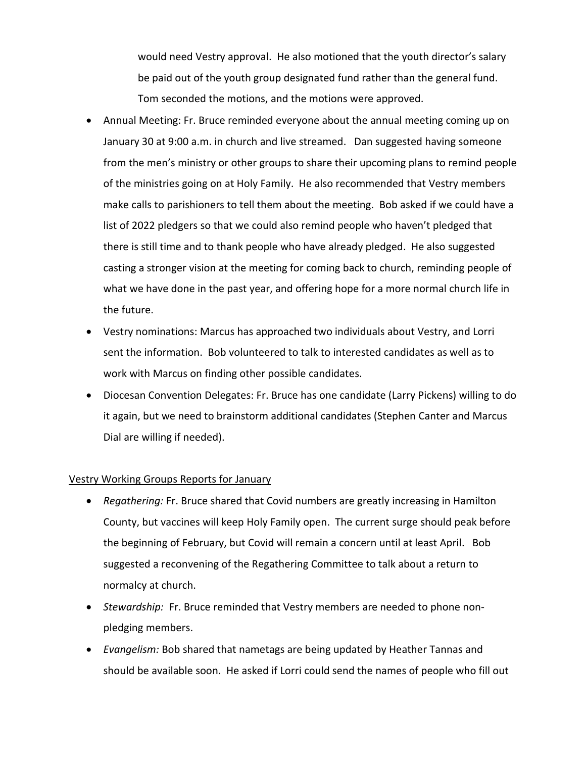would need Vestry approval. He also motioned that the youth director's salary be paid out of the youth group designated fund rather than the general fund. Tom seconded the motions, and the motions were approved.

- Annual Meeting: Fr. Bruce reminded everyone about the annual meeting coming up on January 30 at 9:00 a.m. in church and live streamed. Dan suggested having someone from the men's ministry or other groups to share their upcoming plans to remind people of the ministries going on at Holy Family. He also recommended that Vestry members make calls to parishioners to tell them about the meeting. Bob asked if we could have a list of 2022 pledgers so that we could also remind people who haven't pledged that there is still time and to thank people who have already pledged. He also suggested casting a stronger vision at the meeting for coming back to church, reminding people of what we have done in the past year, and offering hope for a more normal church life in the future.
- Vestry nominations: Marcus has approached two individuals about Vestry, and Lorri sent the information. Bob volunteered to talk to interested candidates as well as to work with Marcus on finding other possible candidates.
- Diocesan Convention Delegates: Fr. Bruce has one candidate (Larry Pickens) willing to do it again, but we need to brainstorm additional candidates (Stephen Canter and Marcus Dial are willing if needed).

### Vestry Working Groups Reports for January

- *Regathering:* Fr. Bruce shared that Covid numbers are greatly increasing in Hamilton County, but vaccines will keep Holy Family open. The current surge should peak before the beginning of February, but Covid will remain a concern until at least April. Bob suggested a reconvening of the Regathering Committee to talk about a return to normalcy at church.
- *Stewardship:* Fr. Bruce reminded that Vestry members are needed to phone nonpledging members.
- *Evangelism:* Bob shared that nametags are being updated by Heather Tannas and should be available soon. He asked if Lorri could send the names of people who fill out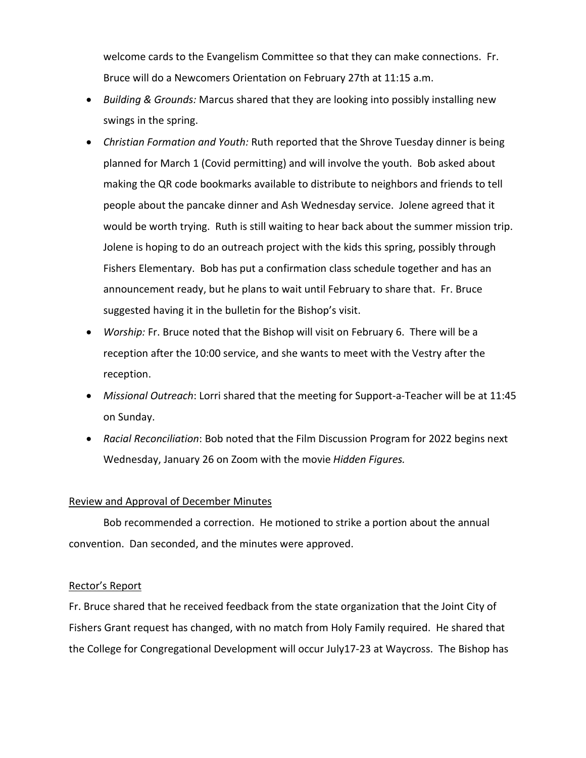welcome cards to the Evangelism Committee so that they can make connections. Fr. Bruce will do a Newcomers Orientation on February 27th at 11:15 a.m.

- *Building & Grounds:* Marcus shared that they are looking into possibly installing new swings in the spring.
- *Christian Formation and Youth:* Ruth reported that the Shrove Tuesday dinner is being planned for March 1 (Covid permitting) and will involve the youth. Bob asked about making the QR code bookmarks available to distribute to neighbors and friends to tell people about the pancake dinner and Ash Wednesday service. Jolene agreed that it would be worth trying. Ruth is still waiting to hear back about the summer mission trip. Jolene is hoping to do an outreach project with the kids this spring, possibly through Fishers Elementary. Bob has put a confirmation class schedule together and has an announcement ready, but he plans to wait until February to share that. Fr. Bruce suggested having it in the bulletin for the Bishop's visit.
- *Worship:* Fr. Bruce noted that the Bishop will visit on February 6. There will be a reception after the 10:00 service, and she wants to meet with the Vestry after the reception.
- *Missional Outreach*: Lorri shared that the meeting for Support-a-Teacher will be at 11:45 on Sunday.
- *Racial Reconciliation*: Bob noted that the Film Discussion Program for 2022 begins next Wednesday, January 26 on Zoom with the movie *Hidden Figures.*

### Review and Approval of December Minutes

Bob recommended a correction. He motioned to strike a portion about the annual convention. Dan seconded, and the minutes were approved.

#### Rector's Report

Fr. Bruce shared that he received feedback from the state organization that the Joint City of Fishers Grant request has changed, with no match from Holy Family required. He shared that the College for Congregational Development will occur July17-23 at Waycross. The Bishop has